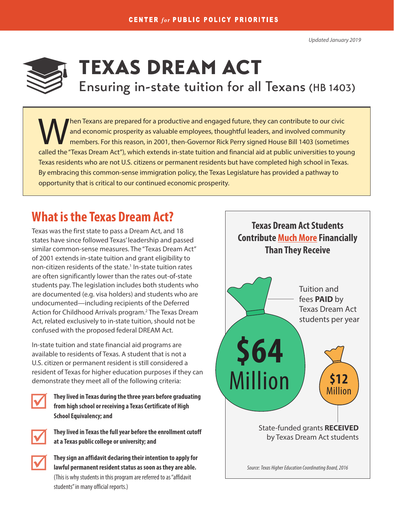<span id="page-0-0"></span>

# TEXAS DREAM ACT Ensuring in-state tuition for all Texans (HB 1403)

hen Texans are prepared for a productive and engaged future, they can contribute to our civic and economic prosperity as valuable employees, thoughtful leaders, and involved community members. For this reason, in 2001, then-Governor Rick Perry signed House Bill 1403 (sometimes called the "Texas Dream Act"), which extends in-state tuition and financial aid at public universities to young Texas residents who are not U.S. citizens or permanent residents but have completed high school in Texas. By embracing this common-sense immigration policy, the Texas Legislature has provided a pathway to opportunity that is critical to our continued economic prosperity.

## **What is the Texas Dream Act?**

Texas was the first state to pass a Dream Act, and 18 states have since followed Texas' leadership and passed similar common-sense measures. The "Texas Dream Act" of 2001 extends in-state tuition and grant eligibility to non-citizen residents of the state.<sup>1</sup> In-state tuition rates are often significantly lower than the rates out-of-state students pay. The legislation includes both students who are documented (e.g. visa holders) and students who are undocumented—including recipients of the Deferred Action for Childhood Arrivals program.<sup>2</sup> The Texas Dream Act, related exclusively to in-state tuition, should not be confused with the proposed federal DREAM Act.

In-state tuition and state financial aid programs are available to residents of Texas. A student that is not a U.S. citizen or permanent resident is still considered a resident of Texas for higher education purposes if they can demonstrate they meet all of the following criteria:



**They lived in Texas during the three years before graduating from high school or receiving a Texas Certificate of High School Equivalency; and**



**They lived in Texas the full year before the enrollment cutoff at a Texas public college or university; and**



**They sign an affidavit declaring their intention to apply for lawful permanent resident status as soon as they are able.** (This is why students in this program are referred to as "affidavit students" in many official reports.)

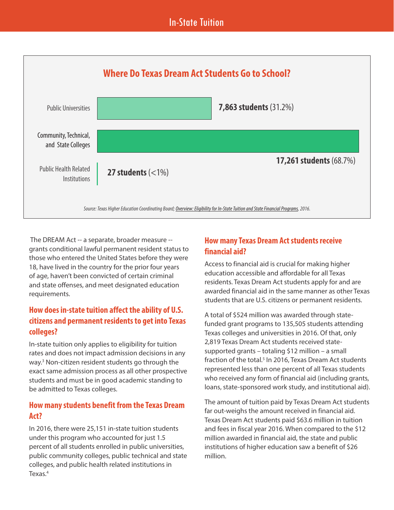### In-State Tuition

<span id="page-1-0"></span>

 The DREAM Act -- a separate, broader measure - grants conditional lawful permanent resident status to those who entered the United States before they were 18, have lived in the country for the prior four years of age, haven't been convicted of certain criminal and state offenses, and meet designated education requirements.

#### **How does in-state tuition affect the ability of U.S. citizens and permanent residents to get into Texas colleges?**

In-state tuition only applies to eligibility for tuition rates and does not impact admission decisions in any way.[3](#page-2-0) Non-citizen resident students go through the exact same admission process as all other prospective students and must be in good academic standing to be admitted to Texas colleges.

#### **How many students benefit from the Texas Dream Act?**

In 2016, there were 25,151 in-state tuition students under this program who accounted for just 1.5 percent of all students enrolled in public universities, public community colleges, public technical and state colleges, and public health related institutions in Texas[.4](#page-2-0)

#### **How many Texas Dream Act students receive financial aid?**

Access to financial aid is crucial for making higher education accessible and affordable for all Texas residents. Texas Dream Act students apply for and are awarded financial aid in the same manner as other Texas students that are U.S. citizens or permanent residents.

A total of \$524 million was awarded through statefunded grant programs to 135,505 students attending Texas colleges and universities in 2016. Of that, only 2,819 Texas Dream Act students received statesupported grants – totaling \$12 million – a small fraction of the total.<sup>5</sup> In 2016, Texas Dream Act students represented less than one percent of all Texas students who received any form of financial aid (including grants, loans, state-sponsored work study, and institutional aid).

The amount of tuition paid by Texas Dream Act students far out-weighs the amount received in financial aid. Texas Dream Act students paid \$63.6 million in tuition and fees in fiscal year 2016. When compared to the \$12 million awarded in financial aid, the state and public institutions of higher education saw a benefit of \$26 million.